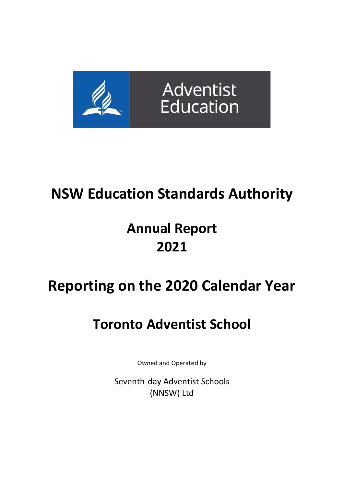

# **NSW Education Standards Authority**

# **Annual Report 2021**

# **Reporting on the 2020 Calendar Year**

# **Toronto Adventist School**

Owned and Operated by

Seventh-day Adventist Schools (NNSW) Ltd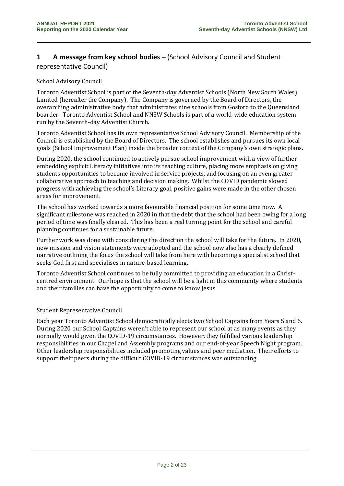# **1 A message from key school bodies –** (School Advisory Council and Student representative Council)

#### School Advisory Council

Toronto Adventist School is part of the Seventh-day Adventist Schools (North New South Wales) Limited (hereafter the Company). The Company is governed by the Board of Directors, the overarching administrative body that administrates nine schools from Gosford to the Queensland boarder. Toronto Adventist School and NNSW Schools is part of a world-wide education system run by the Seventh-day Adventist Church.

Toronto Adventist School has its own representative School Advisory Council. Membership of the Council is established by the Board of Directors. The school establishes and pursues its own local goals (School Improvement Plan) inside the broader context of the Company's own strategic plans.

During 2020, the school continued to actively pursue school improvement with a view of further embedding explicit Literacy initiatives into its teaching culture, placing more emphasis on giving students opportunities to become involved in service projects, and focusing on an even greater collaborative approach to teaching and decision making. Whilst the COVID pandemic slowed progress with achieving the school's Literacy goal, positive gains were made in the other chosen areas for improvement.

The school has worked towards a more favourable financial position for some time now. A significant milestone was reached in 2020 in that the debt that the school had been owing for a long period of time was finally cleared. This has been a real turning point for the school and careful planning continues for a sustainable future.

Further work was done with considering the direction the school will take for the future. In 2020, new mission and vision statements were adopted and the school now also has a clearly defined narrative outlining the focus the school will take from here with becoming a specialist school that seeks God first and specialises in nature-based learning.

Toronto Adventist School continues to be fully committed to providing an education in a Christcentred environment. Our hope is that the school will be a light in this community where students and their families can have the opportunity to come to know Jesus.

#### Student Representative Council

Each year Toronto Adventist School democratically elects two School Captains from Years 5 and 6. During 2020 our School Captains weren't able to represent our school at as many events as they normally would given the COVID-19 circumstances. However, they fulfilled various leadership responsibilities in our Chapel and Assembly programs and our end-of-year Speech Night program. Other leadership responsibilities included promoting values and peer mediation. Their efforts to support their peers during the difficult COVID-19 circumstances was outstanding.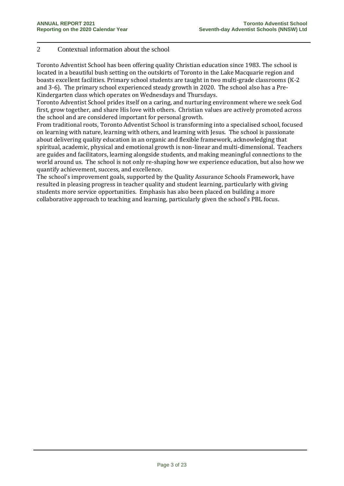# 2 Contextual information about the school

Toronto Adventist School has been offering quality Christian education since 1983. The school is located in a beautiful bush setting on the outskirts of Toronto in the Lake Macquarie region and boasts excellent facilities. Primary school students are taught in two multi-grade classrooms (K-2 and 3-6). The primary school experienced steady growth in 2020. The school also has a Pre-Kindergarten class which operates on Wednesdays and Thursdays.

Toronto Adventist School prides itself on a caring, and nurturing environment where we seek God first, grow together, and share His love with others. Christian values are actively promoted across the school and are considered important for personal growth.

From traditional roots, Toronto Adventist School is transforming into a specialised school, focused on learning with nature, learning with others, and learning with Jesus. The school is passionate about delivering quality education in an organic and flexible framework, acknowledging that spiritual, academic, physical and emotional growth is non-linear and multi-dimensional. Teachers are guides and facilitators, learning alongside students, and making meaningful connections to the world around us. The school is not only re-shaping how we experience education, but also how we quantify achievement, success, and excellence.

The school's improvement goals, supported by the Quality Assurance Schools Framework, have resulted in pleasing progress in teacher quality and student learning, particularly with giving students more service opportunities. Emphasis has also been placed on building a more collaborative approach to teaching and learning, particularly given the school's PBL focus.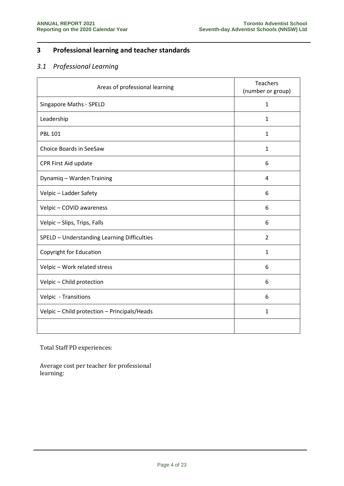# **3 Professional learning and teacher standards**

# *3.1 Professional Learning*

| Areas of professional learning               | Teachers<br>(number or group) |
|----------------------------------------------|-------------------------------|
| <b>Singapore Maths - SPELD</b>               | $\mathbf{1}$                  |
| Leadership                                   | $\mathbf{1}$                  |
| <b>PBL 101</b>                               | $\mathbf{1}$                  |
| Choice Boards in SeeSaw                      | $\mathbf{1}$                  |
| CPR First Aid update                         | 6                             |
| Dynamiq - Warden Training                    | 4                             |
| Velpic - Ladder Safety                       | 6                             |
| Velpic - COVID awareness                     | 6                             |
| Velpic - Slips, Trips, Falls                 | 6                             |
| SPELD - Understanding Learning Difficulties  | $\overline{2}$                |
| Copyright for Education                      | $\mathbf{1}$                  |
| Velpic - Work related stress                 | 6                             |
| Velpic - Child protection                    | 6                             |
| Velpic - Transitions                         | 6                             |
| Velpic - Child protection - Principals/Heads | $\mathbf{1}$                  |
|                                              |                               |

Total Staff PD experiences:

Average cost per teacher for professional learning: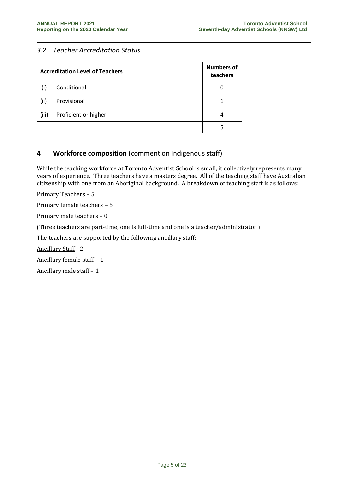# *3.2 Teacher Accreditation Status*

|       | <b>Accreditation Level of Teachers</b> | <b>Numbers of</b><br>teachers |
|-------|----------------------------------------|-------------------------------|
|       | Conditional                            |                               |
| (ii)  | Provisional                            |                               |
| (iii) | Proficient or higher                   | 4                             |
|       |                                        |                               |

# **4 Workforce composition** (comment on Indigenous staff)

While the teaching workforce at Toronto Adventist School is small, it collectively represents many years of experience. Three teachers have a masters degree. All of the teaching staff have Australian citizenship with one from an Aboriginal background. A breakdown of teaching staff is as follows:

Primary Teachers – 5

Primary female teachers – 5

Primary male teachers – 0

(Three teachers are part-time, one is full-time and one is a teacher/administrator.)

The teachers are supported by the following ancillary staff:

Ancillary Staff - 2

Ancillary female staff – 1

Ancillary male staff – 1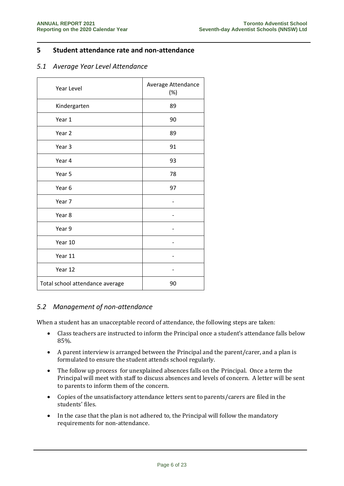# **5 Student attendance rate and non-attendance**

# *5.1 Average Year Level Attendance*

| Year Level                      | Average Attendance<br>(%) |
|---------------------------------|---------------------------|
| Kindergarten                    | 89                        |
| Year 1                          | 90                        |
| Year 2                          | 89                        |
| Year 3                          | 91                        |
| Year 4                          | 93                        |
| Year 5                          | 78                        |
| Year 6                          | 97                        |
| Year 7                          |                           |
| Year <sub>8</sub>               |                           |
| Year 9                          |                           |
| Year 10                         |                           |
| Year 11                         |                           |
| Year 12                         |                           |
| Total school attendance average | 90                        |

# *5.2 Management of non-attendance*

When a student has an unacceptable record of attendance, the following steps are taken:

- Class teachers are instructed to inform the Principal once a student's attendance falls below 85%.
- A parent interview is arranged between the Principal and the parent/carer, and a plan is formulated to ensure the student attends school regularly.
- The follow up process for unexplained absences falls on the Principal. Once a term the Principal will meet with staff to discuss absences and levels of concern. A letter will be sent to parents to inform them of the concern.
- Copies of the unsatisfactory attendance letters sent to parents/carers are filed in the students' files.
- In the case that the plan is not adhered to, the Principal will follow the mandatory requirements for non-attendance.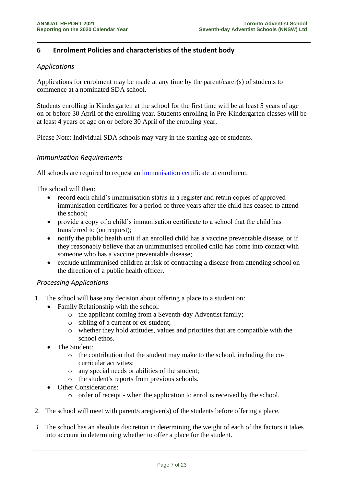# **6 Enrolment Policies and characteristics of the student body**

# *Applications*

Applications for enrolment may be made at any time by the parent/carer(s) of students to commence at a nominated SDA school.

Students enrolling in Kindergarten at the school for the first time will be at least 5 years of age on or before 30 April of the enrolling year. Students enrolling in Pre-Kindergarten classes will be at least 4 years of age on or before 30 April of the enrolling year.

Please Note: Individual SDA schools may vary in the starting age of students.

# *Immunisation Requirements*

All schools are required to request an [immunisation certificate](http://www.health.nsw.gov.au/immunisation/Pages/Immunisation-in-schools.aspx) at enrolment.

The school will then:

- record each child's immunisation status in a register and retain copies of approved immunisation certificates for a period of three years after the child has ceased to attend the school;
- provide a copy of a child's immunisation certificate to a school that the child has transferred to (on request);
- notify the public health unit if an enrolled child has a vaccine preventable disease, or if they reasonably believe that an unimmunised enrolled child has come into contact with someone who has a vaccine preventable disease;
- exclude unimmunised children at risk of contracting a disease from attending school on the direction of a public health officer.

# *Processing Applications*

- 1. The school will base any decision about offering a place to a student on:
	- Family Relationship with the school:
		- o the applicant coming from a Seventh-day Adventist family;
		- o sibling of a current or ex-student;
		- o whether they hold attitudes, values and priorities that are compatible with the school ethos.
	- The Student:
		- o the contribution that the student may make to the school, including the cocurricular activities;
		- o any special needs or abilities of the student;
		- o the student's reports from previous schools.
	- Other Considerations:
		- o order of receipt when the application to enrol is received by the school.
- 2. The school will meet with parent/caregiver(s) of the students before offering a place.
- 3. The school has an absolute discretion in determining the weight of each of the factors it takes into account in determining whether to offer a place for the student.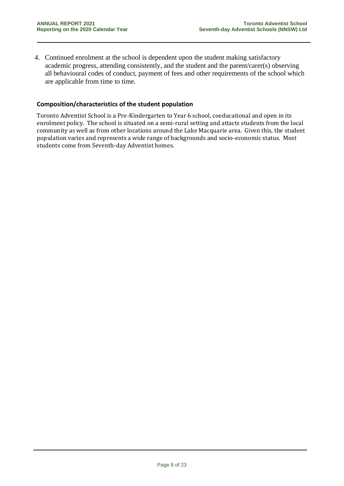4. Continued enrolment at the school is dependent upon the student making satisfactory academic progress, attending consistently, and the student and the parent/carer(s) observing all behavioural codes of conduct, payment of fees and other requirements of the school which are applicable from time to time.

#### **Composition/characteristics of the student population**

Toronto Adventist School is a Pre-Kindergarten to Year 6 school, coeducational and open in its enrolment policy. The school is situated on a semi-rural setting and attacts students from the local community as well as from other locations around the Lake Macquarie area. Given this, the student population varies and represents a wide range of backgrounds and socio-economic status. Most students come from Seventh-day Adventist homes.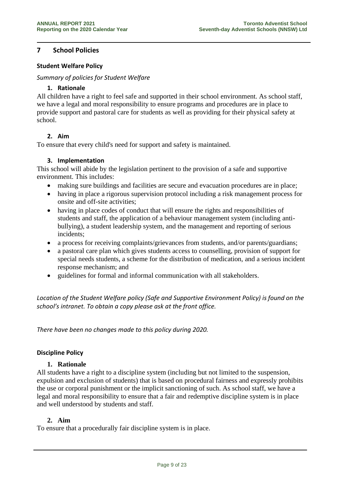# **7 School Policies**

#### **Student Welfare Policy**

#### *Summary of policies for Student Welfare*

#### **1. Rationale**

All children have a right to feel safe and supported in their school environment. As school staff, we have a legal and moral responsibility to ensure programs and procedures are in place to provide support and pastoral care for students as well as providing for their physical safety at school.

# **2. Aim**

To ensure that every child's need for support and safety is maintained.

#### **3. Implementation**

This school will abide by the legislation pertinent to the provision of a safe and supportive environment. This includes:

- making sure buildings and facilities are secure and evacuation procedures are in place;
- having in place a rigorous supervision protocol including a risk management process for onsite and off-site activities;
- having in place codes of conduct that will ensure the rights and responsibilities of students and staff, the application of a behaviour management system (including antibullying), a student leadership system, and the management and reporting of serious incidents;
- a process for receiving complaints/grievances from students, and/or parents/guardians;
- a pastoral care plan which gives students access to counselling, provision of support for special needs students, a scheme for the distribution of medication, and a serious incident response mechanism; and
- guidelines for formal and informal communication with all stakeholders.

*Location of the Student Welfare policy (Safe and Supportive Environment Policy) is found on the school's intranet. To obtain a copy please ask at the front office.*

*There have been no changes made to this policy during 2020.*

#### **Discipline Policy**

#### **1. Rationale**

All students have a right to a discipline system (including but not limited to the suspension, expulsion and exclusion of students) that is based on procedural fairness and expressly prohibits the use or corporal punishment or the implicit sanctioning of such. As school staff, we have a legal and moral responsibility to ensure that a fair and redemptive discipline system is in place and well understood by students and staff.

#### **2. Aim**

To ensure that a procedurally fair discipline system is in place.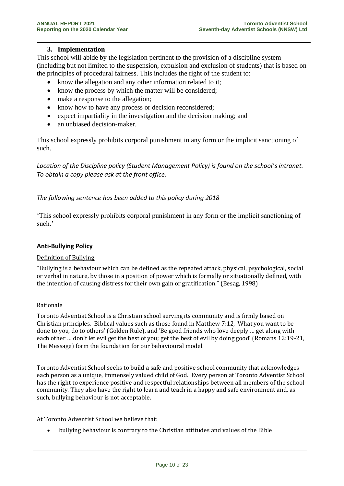#### **3. Implementation**

This school will abide by the legislation pertinent to the provision of a discipline system (including but not limited to the suspension, expulsion and exclusion of students) that is based on the principles of procedural fairness. This includes the right of the student to:

- know the allegation and any other information related to it;
- know the process by which the matter will be considered;
- make a response to the allegation;
- know how to have any process or decision reconsidered;
- expect impartiality in the investigation and the decision making; and
- an unbiased decision-maker.

This school expressly prohibits corporal punishment in any form or the implicit sanctioning of such.

*Location of the Discipline policy (Student Management Policy) is found on the school's intranet. To obtain a copy please ask at the front office.*

# *The following sentence has been added to this policy during 2018*

'This school expressly prohibits corporal punishment in any form or the implicit sanctioning of such.'

#### **Anti-Bullying Policy**

#### Definition of Bullying

"Bullying is a behaviour which can be defined as the repeated attack, physical, psychological, social or verbal in nature, by those in a position of power which is formally or situationally defined, with the intention of causing distress for their own gain or gratification." (Besag, 1998)

#### Rationale

Toronto Adventist School is a Christian school serving its community and is firmly based on Christian principles. Biblical values such as those found in Matthew 7:12, 'What you want to be done to you, do to others' (Golden Rule), and 'Be good friends who love deeply … get along with each other … don't let evil get the best of you; get the best of evil by doing good' (Romans 12:19-21, The Message) form the foundation for our behavioural model.

Toronto Adventist School seeks to build a safe and positive school community that acknowledges each person as a unique, immensely valued child of God. Every person at Toronto Adventist School has the right to experience positive and respectful relationships between all members of the school community. They also have the right to learn and teach in a happy and safe environment and, as such, bullying behaviour is not acceptable.

At Toronto Adventist School we believe that:

• bullying behaviour is contrary to the Christian attitudes and values of the Bible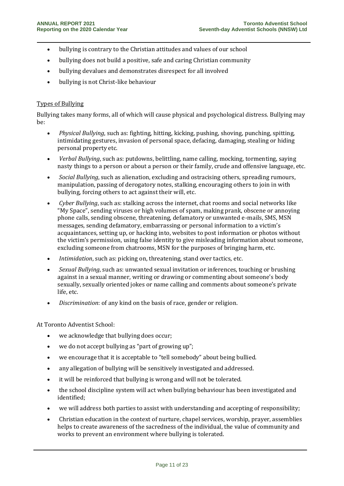- bullying is contrary to the Christian attitudes and values of our school
- bullying does not build a positive, safe and caring Christian community
- bullying devalues and demonstrates disrespect for all involved
- bullying is not Christ-like behaviour

# Types of Bullying

Bullying takes many forms, all of which will cause physical and psychological distress. Bullying may be:

- *Physical Bullying*, such as: fighting, hitting, kicking, pushing, shoving, punching, spitting, intimidating gestures, invasion of personal space, defacing, damaging, stealing or hiding personal property etc.
- *Verbal Bullying*, such as: putdowns, belittling, name calling, mocking, tormenting, saying nasty things to a person or about a person or their family, crude and offensive language, etc.
- *Social Bullying*, such as alienation, excluding and ostracising others, spreading rumours, manipulation, passing of derogatory notes, stalking, encouraging others to join in with bullying, forcing others to act against their will, etc.
- *Cyber Bullying*, such as: stalking across the internet, chat rooms and social networks like "My Space", sending viruses or high volumes of spam, making prank, obscene or annoying phone calls, sending obscene, threatening, defamatory or unwanted e-mails, SMS, MSN messages, sending defamatory, embarrassing or personal information to a victim's acquaintances, setting up, or hacking into, websites to post information or photos without the victim's permission, using false identity to give misleading information about someone, excluding someone from chatrooms, MSN for the purposes of bringing harm, etc.
- *Intimidation*, such as: picking on, threatening, stand over tactics, etc.
- *Sexual Bullying*, such as: unwanted sexual invitation or inferences, touching or brushing against in a sexual manner, writing or drawing or commenting about someone's body sexually, sexually oriented jokes or name calling and comments about someone's private life, etc.
- *Discrimination*: of any kind on the basis of race, gender or religion.

At Toronto Adventist School:

- we acknowledge that bullying does occur;
- we do not accept bullying as "part of growing up";
- we encourage that it is acceptable to "tell somebody" about being bullied.
- any allegation of bullying will be sensitively investigated and addressed.
- it will be reinforced that bullying is wrong and will not be tolerated.
- the school discipline system will act when bullying behaviour has been investigated and identified;
- we will address both parties to assist with understanding and accepting of responsibility;
- Christian education in the context of nurture, chapel services, worship, prayer, assemblies helps to create awareness of the sacredness of the individual, the value of community and works to prevent an environment where bullying is tolerated.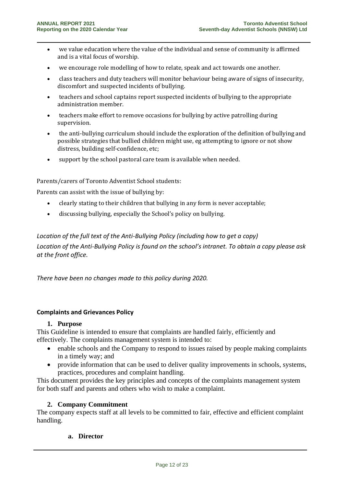- we value education where the value of the individual and sense of community is affirmed and is a vital focus of worship.
- we encourage role modelling of how to relate, speak and act towards one another.
- class teachers and duty teachers will monitor behaviour being aware of signs of insecurity, discomfort and suspected incidents of bullying.
- teachers and school captains report suspected incidents of bullying to the appropriate administration member.
- teachers make effort to remove occasions for bullying by active patrolling during supervision.
- the anti-bullying curriculum should include the exploration of the definition of bullying and possible strategies that bullied children might use, eg attempting to ignore or not show distress, building self-confidence, etc;
- support by the school pastoral care team is available when needed.

#### Parents/carers of Toronto Adventist School students:

Parents can assist with the issue of bullying by:

- clearly stating to their children that bullying in any form is never acceptable;
- discussing bullying, especially the School's policy on bullying.

# *Location of the full text of the Anti-Bullying Policy (including how to get a copy) Location of the Anti-Bullying Policy is found on the school's intranet. To obtain a copy please ask at the front office.*

*There have been no changes made to this policy during 2020.*

# **Complaints and Grievances Policy**

#### **1. Purpose**

This Guideline is intended to ensure that complaints are handled fairly, efficiently and effectively. The complaints management system is intended to:

- enable schools and the Company to respond to issues raised by people making complaints in a timely way; and
- provide information that can be used to deliver quality improvements in schools, systems, practices, procedures and complaint handling.

This document provides the key principles and concepts of the complaints management system for both staff and parents and others who wish to make a complaint.

# **2. Company Commitment**

The company expects staff at all levels to be committed to fair, effective and efficient complaint handling.

#### **a. Director**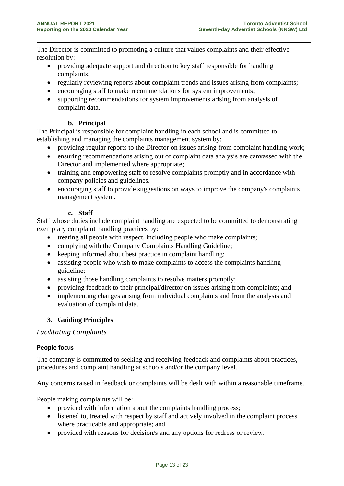The Director is committed to promoting a culture that values complaints and their effective resolution by:

- providing adequate support and direction to key staff responsible for handling complaints;
- regularly reviewing reports about complaint trends and issues arising from complaints;
- encouraging staff to make recommendations for system improvements;
- supporting recommendations for system improvements arising from analysis of complaint data.

# **b. Principal**

The Principal is responsible for complaint handling in each school and is committed to establishing and managing the complaints management system by:

- providing regular reports to the Director on issues arising from complaint handling work;
- ensuring recommendations arising out of complaint data analysis are canvassed with the Director and implemented where appropriate;
- training and empowering staff to resolve complaints promptly and in accordance with company policies and guidelines.
- encouraging staff to provide suggestions on ways to improve the company's complaints management system.

# **c. Staff**

Staff whose duties include complaint handling are expected to be committed to demonstrating exemplary complaint handling practices by:

- treating all people with respect, including people who make complaints;
- complying with the Company Complaints Handling Guideline;
- keeping informed about best practice in complaint handling;
- assisting people who wish to make complaints to access the complaints handling guideline;
- assisting those handling complaints to resolve matters promptly;
- providing feedback to their principal/director on issues arising from complaints; and
- implementing changes arising from individual complaints and from the analysis and evaluation of complaint data.

# **3. Guiding Principles**

# *Facilitating Complaints*

# **People focus**

The company is committed to seeking and receiving feedback and complaints about practices, procedures and complaint handling at schools and/or the company level.

Any concerns raised in feedback or complaints will be dealt with within a reasonable timeframe.

People making complaints will be:

- provided with information about the complaints handling process;
- listened to, treated with respect by staff and actively involved in the complaint process where practicable and appropriate; and
- provided with reasons for decision/s and any options for redress or review.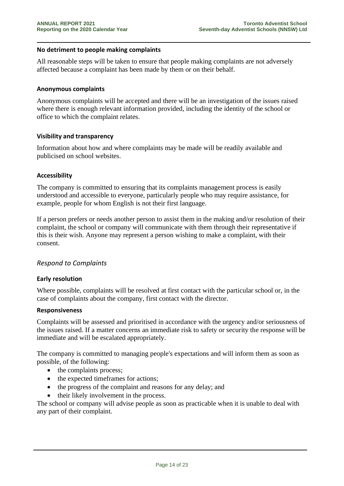#### **No detriment to people making complaints**

All reasonable steps will be taken to ensure that people making complaints are not adversely affected because a complaint has been made by them or on their behalf.

#### **Anonymous complaints**

Anonymous complaints will be accepted and there will be an investigation of the issues raised where there is enough relevant information provided, including the identity of the school or office to which the complaint relates.

#### **Visibility and transparency**

Information about how and where complaints may be made will be readily available and publicised on school websites.

#### **Accessibility**

The company is committed to ensuring that its complaints management process is easily understood and accessible to everyone, particularly people who may require assistance, for example, people for whom English is not their first language.

If a person prefers or needs another person to assist them in the making and/or resolution of their complaint, the school or company will communicate with them through their representative if this is their wish. Anyone may represent a person wishing to make a complaint, with their consent.

# *Respond to Complaints*

#### **Early resolution**

Where possible, complaints will be resolved at first contact with the particular school or, in the case of complaints about the company, first contact with the director.

#### **Responsiveness**

Complaints will be assessed and prioritised in accordance with the urgency and/or seriousness of the issues raised. If a matter concerns an immediate risk to safety or security the response will be immediate and will be escalated appropriately.

The company is committed to managing people's expectations and will inform them as soon as possible, of the following:

- the complaints process;
- the expected timeframes for actions;
- the progress of the complaint and reasons for any delay; and
- their likely involvement in the process.

The school or company will advise people as soon as practicable when it is unable to deal with any part of their complaint.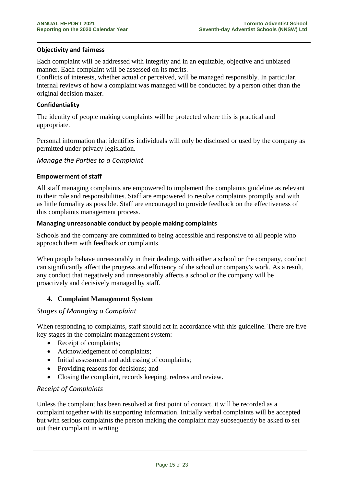#### **Objectivity and fairness**

Each complaint will be addressed with integrity and in an equitable, objective and unbiased manner. Each complaint will be assessed on its merits.

Conflicts of interests, whether actual or perceived, will be managed responsibly. In particular, internal reviews of how a complaint was managed will be conducted by a person other than the original decision maker.

#### **Confidentiality**

The identity of people making complaints will be protected where this is practical and appropriate.

Personal information that identifies individuals will only be disclosed or used by the company as permitted under privacy legislation.

#### *Manage the Parties to a Complaint*

#### **Empowerment of staff**

All staff managing complaints are empowered to implement the complaints guideline as relevant to their role and responsibilities. Staff are empowered to resolve complaints promptly and with as little formality as possible. Staff are encouraged to provide feedback on the effectiveness of this complaints management process.

#### **Managing unreasonable conduct by people making complaints**

Schools and the company are committed to being accessible and responsive to all people who approach them with feedback or complaints.

When people behave unreasonably in their dealings with either a school or the company, conduct can significantly affect the progress and efficiency of the school or company's work. As a result, any conduct that negatively and unreasonably affects a school or the company will be proactively and decisively managed by staff.

# **4. Complaint Management System**

# *Stages of Managing a Complaint*

When responding to complaints, staff should act in accordance with this guideline. There are five key stages in the complaint management system:

- Receipt of complaints;
- Acknowledgement of complaints:
- Initial assessment and addressing of complaints;
- Providing reasons for decisions; and
- Closing the complaint, records keeping, redress and review.

# *Receipt of Complaints*

Unless the complaint has been resolved at first point of contact, it will be recorded as a complaint together with its supporting information. Initially verbal complaints will be accepted but with serious complaints the person making the complaint may subsequently be asked to set out their complaint in writing.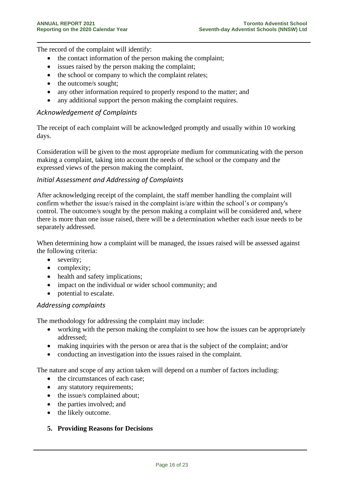The record of the complaint will identify:

- the contact information of the person making the complaint;
- issues raised by the person making the complaint;
- the school or company to which the complaint relates:
- the outcome/s sought;
- any other information required to properly respond to the matter; and
- any additional support the person making the complaint requires.

# *Acknowledgement of Complaints*

The receipt of each complaint will be acknowledged promptly and usually within 10 working days.

Consideration will be given to the most appropriate medium for communicating with the person making a complaint, taking into account the needs of the school or the company and the expressed views of the person making the complaint.

# *Initial Assessment and Addressing of Complaints*

After acknowledging receipt of the complaint, the staff member handling the complaint will confirm whether the issue/s raised in the complaint is/are within the school's or company's control. The outcome/s sought by the person making a complaint will be considered and, where there is more than one issue raised, there will be a determination whether each issue needs to be separately addressed.

When determining how a complaint will be managed, the issues raised will be assessed against the following criteria:

- severity;
- complexity;
- health and safety implications;
- impact on the individual or wider school community; and
- potential to escalate.

# *Addressing complaints*

The methodology for addressing the complaint may include:

- working with the person making the complaint to see how the issues can be appropriately addressed;
- making inquiries with the person or area that is the subject of the complaint; and/or
- conducting an investigation into the issues raised in the complaint.

The nature and scope of any action taken will depend on a number of factors including:

- the circumstances of each case;
- any statutory requirements;
- the issue/s complained about;
- the parties involved; and
- the likely outcome.

# **5. Providing Reasons for Decisions**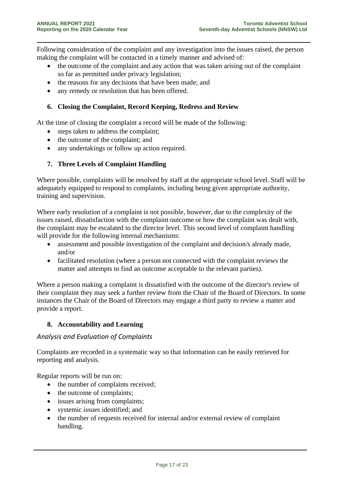Following consideration of the complaint and any investigation into the issues raised, the person making the complaint will be contacted in a timely manner and advised of:

- the outcome of the complaint and any action that was taken arising out of the complaint so far as permitted under privacy legislation;
- the reasons for any decisions that have been made; and
- any remedy or resolution that has been offered.

# **6. Closing the Complaint, Record Keeping, Redress and Review**

At the time of closing the complaint a record will be made of the following:

- steps taken to address the complaint;
- the outcome of the complaint; and
- any undertakings or follow up action required.

# **7. Three Levels of Complaint Handling**

Where possible, complaints will be resolved by staff at the appropriate school level. Staff will be adequately equipped to respond to complaints, including being given appropriate authority, training and supervision.

Where early resolution of a complaint is not possible, however, due to the complexity of the issues raised, dissatisfaction with the complaint outcome or how the complaint was dealt with, the complaint may be escalated to the director level. This second level of complaint handling will provide for the following internal mechanisms:

- assessment and possible investigation of the complaint and decision/s already made, and/or
- facilitated resolution (where a person not connected with the complaint reviews the matter and attempts to find an outcome acceptable to the relevant parties).

Where a person making a complaint is dissatisfied with the outcome of the director's review of their complaint they may seek a further review from the Chair of the Board of Directors. In some instances the Chair of the Board of Directors may engage a third party to review a matter and provide a report.

# **8. Accountability and Learning**

# *Analysis and Evaluation of Complaints*

Complaints are recorded in a systematic way so that information can be easily retrieved for reporting and analysis.

Regular reports will be run on:

- the number of complaints received;
- the outcome of complaints;
- issues arising from complaints;
- systemic issues identified; and
- the number of requests received for internal and/or external review of complaint handling.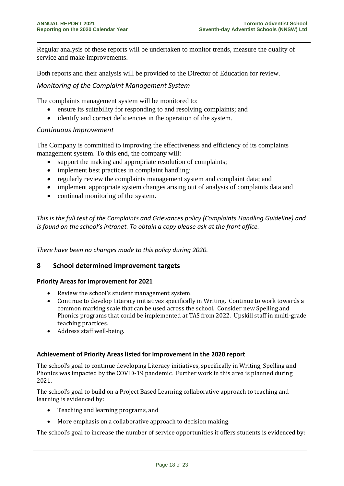Regular analysis of these reports will be undertaken to monitor trends, measure the quality of service and make improvements.

Both reports and their analysis will be provided to the Director of Education for review.

# *Monitoring of the Complaint Management System*

The complaints management system will be monitored to:

- ensure its suitability for responding to and resolving complaints; and
- identify and correct deficiencies in the operation of the system.

# *Continuous Improvement*

The Company is committed to improving the effectiveness and efficiency of its complaints management system. To this end, the company will:

- support the making and appropriate resolution of complaints;
- implement best practices in complaint handling;
- regularly review the complaints management system and complaint data; and
- implement appropriate system changes arising out of analysis of complaints data and
- continual monitoring of the system.

*This is the full text of the Complaints and Grievances policy (Complaints Handling Guideline) and is found on the school's intranet. To obtain a copy please ask at the front office.*

*There have been no changes made to this policy during 2020.*

# **8 School determined improvement targets**

# **Priority Areas for Improvement for 2021**

- Review the school's student management system.
- Continue to develop Literacy initiatives specifically in Writing. Continue to work towards a common marking scale that can be used across the school. Consider new Spelling and Phonics programs that could be implemented at TAS from 2022. Upskill staff in multi-grade teaching practices.
- Address staff well-being.

#### **Achievement of Priority Areas listed for improvement in the 2020 report**

The school's goal to continue developing Literacy initiatives, specifically in Writing, Spelling and Phonics was impacted by the COVID-19 pandemic. Further work in this area is planned during 2021.

The school's goal to build on a Project Based Learning collaborative approach to teaching and learning is evidenced by:

- Teaching and learning programs, and
- More emphasis on a collaborative approach to decision making.

The school's goal to increase the number of service opportunities it offers students is evidenced by: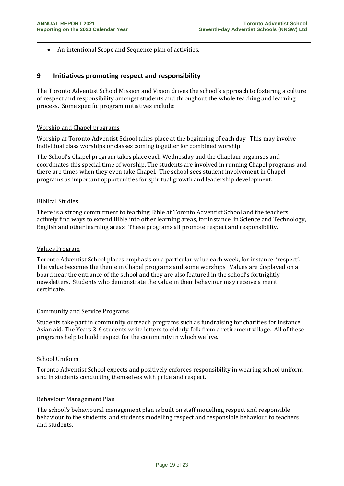• An intentional Scope and Sequence plan of activities.

# **9 Initiatives promoting respect and responsibility**

The Toronto Adventist School Mission and Vision drives the school's approach to fostering a culture of respect and responsibility amongst students and throughout the whole teaching and learning process. Some specific program initiatives include:

#### Worship and Chapel programs

Worship at Toronto Adventist School takes place at the beginning of each day. This may involve individual class worships or classes coming together for combined worship.

The School's Chapel program takes place each Wednesday and the Chaplain organises and coordinates this special time of worship. The students are involved in running Chapel programs and there are times when they even take Chapel. The school sees student involvement in Chapel programs as important opportunities for spiritual growth and leadership development.

#### Biblical Studies

There is a strong commitment to teaching Bible at Toronto Adventist School and the teachers actively find ways to extend Bible into other learning areas, for instance, in Science and Technology, English and other learning areas. These programs all promote respect and responsibility.

#### Values Program

Toronto Adventist School places emphasis on a particular value each week, for instance, 'respect'. The value becomes the theme in Chapel programs and some worships. Values are displayed on a board near the entrance of the school and they are also featured in the school's fortnightly newsletters. Students who demonstrate the value in their behaviour may receive a merit certificate.

#### Community and Service Programs

Students take part in community outreach programs such as fundraising for charities for instance Asian aid. The Years 3-6 students write letters to elderly folk from a retirement village. All of these programs help to build respect for the community in which we live.

#### School Uniform

Toronto Adventist School expects and positively enforces responsibility in wearing school uniform and in students conducting themselves with pride and respect.

# Behaviour Management Plan

The school's behavioural management plan is built on staff modelling respect and responsible behaviour to the students, and students modelling respect and responsible behaviour to teachers and students.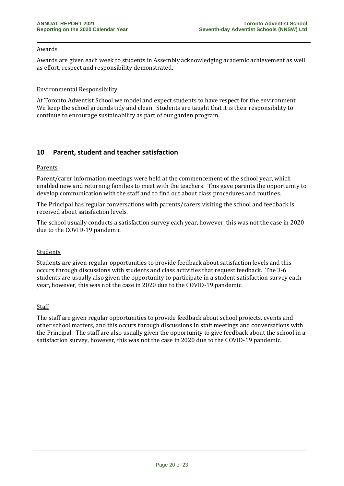#### Awards

Awards are given each week to students in Assembly acknowledging academic achievement as well as effort, respect and responsibility demonstrated.

#### Environmental Responsibility

At Toronto Adventist School we model and expect students to have respect for the environment. We keep the school grounds tidy and clean. Students are taught that it is their responsibility to continue to encourage sustainability as part of our garden program.

# **10 Parent, student and teacher satisfaction**

#### Parents

Parent/carer information meetings were held at the commencement of the school year, which enabled new and returning families to meet with the teachers. This gave parents the opportunity to develop communication with the staff and to find out about class procedures and routines.

The Principal has regular conversations with parents/carers visiting the school and feedback is received about satisfaction levels.

The school usually conducts a satisfaction survey each year, however, this was not the case in 2020 due to the COVID-19 pandemic.

#### Students

Students are given regular opportunities to provide feedback about satisfaction levels and this occurs through discussions with students and class activities that request feedback. The 3-6 students are usually also given the opportunity to participate in a student satisfaction survey each year, however, this was not the case in 2020 due to the COVID-19 pandemic.

#### Staff

The staff are given regular opportunities to provide feedback about school projects, events and other school matters, and this occurs through discussions in staff meetings and conversations with the Principal. The staff are also usually given the opportunity to give feedback about the school in a satisfaction survey, however, this was not the case in 2020 due to the COVID-19 pandemic.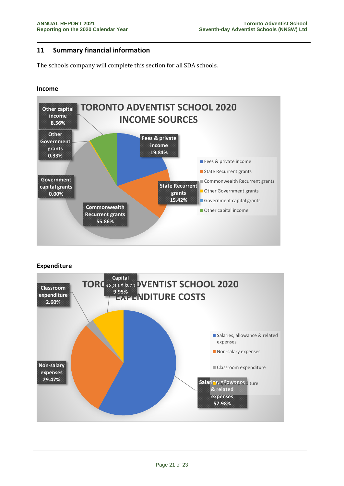# **11 Summary financial information**

The schools company will complete this section for all SDA schools.

#### **Income**



#### **Expenditure**

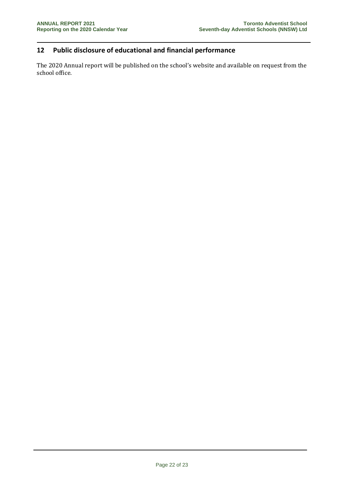# **12 Public disclosure of educational and financial performance**

The 2020 Annual report will be published on the school's website and available on request from the school office.